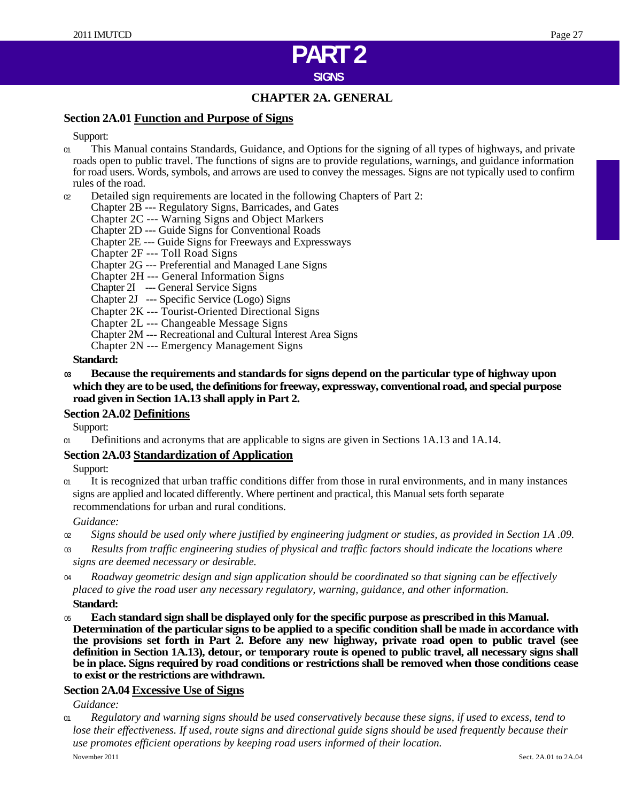

# **CHAPTER 2A. GENERAL**

#### **Section 2A.01 Function and Purpose of Signs**

Support:

- <sup>01</sup>This Manual contains Standards, Guidance, and Options for the signing of all types of highways, and private roads open to public travel. The functions of signs are to provide regulations, warnings, and guidance information for road users. Words, symbols, and arrows are used to convey the messages. Signs are not typically used to confirm rules of the road.
- 02 Detailed sign requirements are located in the following Chapters of Part 2:
	- Chapter 2B --- Regulatory Signs, Barricades, and Gates
	- Chapter 2C --- Warning Signs and Object Markers
	- Chapter 2D --- Guide Signs for Conventional Roads
	- Chapter 2E --- Guide Signs for Freeways and Expressways
	- Chapter 2F --- Toll Road Signs
	- Chapter 2G --- Preferential and Managed Lane Signs
	- Chapter 2H --- General Information Signs
	- Chapter 2I --- General Service Signs
	- Chapter 2J --- Specific Service (Logo) Signs
	- Chapter 2K --- Tourist-Oriented Directional Signs
	- Chapter 2L --- Changeable Message Signs
	- Chapter 2M --- Recreational and Cultural Interest Area Signs
	- Chapter 2N --- Emergency Management Signs

#### **Standard:**

**<sup>03</sup>Because the requirements and standards for signs depend on the particular type of highway upon which they are to be used, the definitions for freeway, expressway, conventional road, and special purpose road given in Section 1A.13 shall apply in Part 2.** 

#### **Section 2A.02 Definitions**

Support:

01 Definitions and acronyms that are applicable to signs are given in Sections 1A.13 and 1A.14.

#### **Section 2A.03 Standardization of Application**

Support:

<sup>01</sup>It is recognized that urban traffic conditions differ from those in rural environments, and in many instances signs are applied and located differently. Where pertinent and practical, this Manual sets forth separate recommendations for urban and rural conditions.

*Guidance:* 

- <sup>02</sup>*Signs should be used only where justified by engineering judgment or studies, as provided in Section 1A .09.*
- <sup>03</sup>*Results from traffic engineering studies of physical and traffic factors should indicate the locations where signs are deemed necessary or desirable.*
- <sup>04</sup>*Roadway geometric design and sign application should be coordinated so that signing can be effectively placed to give the road user any necessary regulatory, warning, guidance, and other information.*  **Standard:**
- <sup>05</sup>**Each standard sign shall be displayed only for the specific purpose as prescribed in this Manual. Determination of the particular signs to be applied to a specific condition shall be made in accordance with the provisions set forth in Part 2. Before any new highway, private road open to public travel (see definition in Section 1A.13), detour, or temporary route is opened to public travel, all necessary signs shall be in place. Signs required by road conditions or restrictions shall be removed when those conditions cease to exist or the restrictions are withdrawn.**

#### **Section 2A.04 Excessive Use of Signs**

*Guidance:* 

<sup>01</sup>*Regulatory and warning signs should be used conservatively because these signs, if used to excess, tend to lose their effectiveness. If used, route signs and directional guide signs should be used frequently because their use promotes efficient operations by keeping road users informed of their location.*  November 2011 Sect. 2A.01 to 2A.04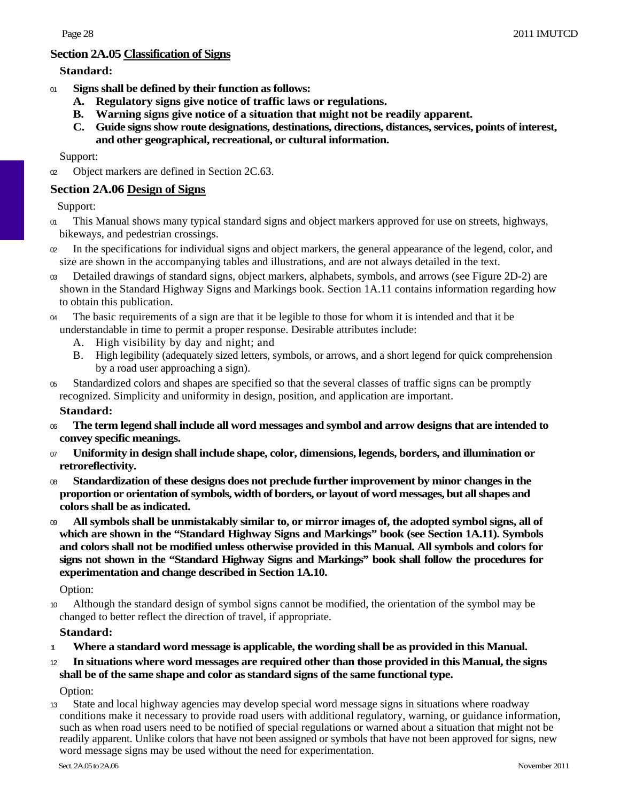# **Section 2A.05 Classification of Signs**

#### **Standard:**

- <sup>01</sup>**Signs shall be defined by their function as follows:** 
	- **A. Regulatory signs give notice of traffic laws or regulations.**
	- **B. Warning signs give notice of a situation that might not be readily apparent.**
	- **C. Guide signs show route designations, destinations, directions, distances, services, points of interest, and other geographical, recreational, or cultural information.**

Support:

02 Object markers are defined in Section 2C.63.

# **Section 2A.06 Design of Signs**

Support:

- This Manual shows many typical standard signs and object markers approved for use on streets, highways, bikeways, and pedestrian crossings.
- In the specifications for individual signs and object markers, the general appearance of the legend, color, and size are shown in the accompanying tables and illustrations, and are not always detailed in the text.
- 03 Detailed drawings of standard signs, object markers, alphabets, symbols, and arrows (see Figure 2D-2) are shown in the Standard Highway Signs and Markings book. Section 1A.11 contains information regarding how to obtain this publication.
- <sup>04</sup>The basic requirements of a sign are that it be legible to those for whom it is intended and that it be understandable in time to permit a proper response. Desirable attributes include:
	- A. High visibility by day and night; and
	- B. High legibility (adequately sized letters, symbols, or arrows, and a short legend for quick comprehension by a road user approaching a sign).
- <sup>05</sup>Standardized colors and shapes are specified so that the several classes of traffic signs can be promptly recognized. Simplicity and uniformity in design, position, and application are important.

#### **Standard:**

- <sup>06</sup>**The term legend shall include all word messages and symbol and arrow designs that are intended to convey specific meanings.**
- <sup>07</sup>**Uniformity in design shall include shape, color, dimensions, legends, borders, and illumination or retroreflectivity.**
- <sup>08</sup>**Standardization of these designs does not preclude further improvement by minor changes in the proportion or orientation of symbols, width of borders, or layout of word messages, but all shapes and colors shall be as indicated.**
- <sup>09</sup>**All symbols shall be unmistakably similar to, or mirror images of, the adopted symbol signs, all of which are shown in the "Standard Highway Signs and Markings" book (see Section 1A.11). Symbols and colors shall not be modified unless otherwise provided in this Manual. All symbols and colors for signs not shown in the "Standard Highway Signs and Markings" book shall follow the procedures for experimentation and change described in Section 1A.10.**

Option:

<sup>10</sup>Although the standard design of symbol signs cannot be modified, the orientation of the symbol may be changed to better reflect the direction of travel, if appropriate.

# **Standard:**

- <sup>11</sup> **Where a standard word message is applicable, the wording shall be as provided in this Manual.**
- <sup>12</sup>**In situations where word messages are required other than those provided in this Manual, the signs shall be of the same shape and color as standard signs of the same functional type.**

Option:

<sup>13</sup>State and local highway agencies may develop special word message signs in situations where roadway conditions make it necessary to provide road users with additional regulatory, warning, or guidance information, such as when road users need to be notified of special regulations or warned about a situation that might not be readily apparent. Unlike colors that have not been assigned or symbols that have not been approved for signs, new word message signs may be used without the need for experimentation.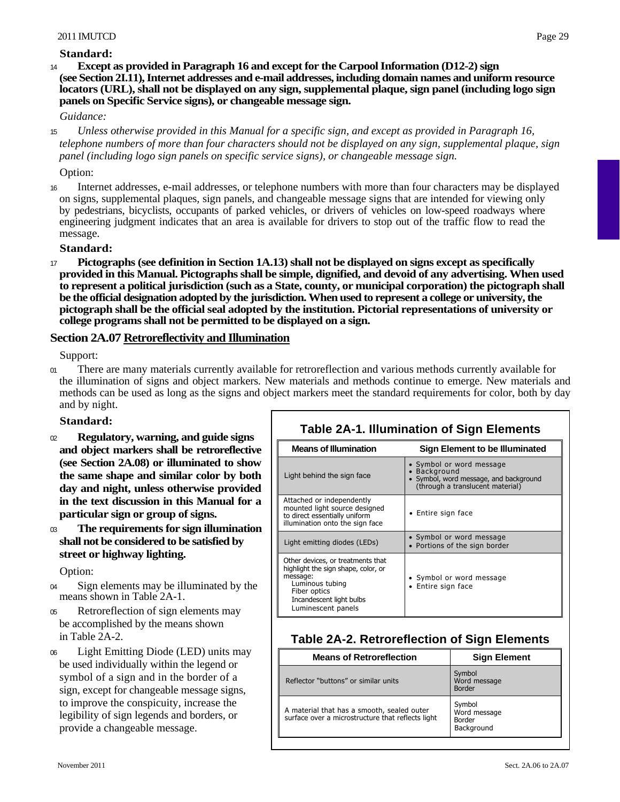#### **Standard:**

#### <sup>14</sup>**Except as provided in Paragraph 16 and except for the Carpool Information (D12-2) sign (see Section 2I.11), Internet addresses and e-mail addresses, including domain names and uniform resource locators (URL), shall not be displayed on any sign, supplemental plaque, sign panel (including logo sign panels on Specific Service signs), or changeable message sign.**

#### *Guidance:*

<sup>15</sup>*Unless otherwise provided in this Manual for a specific sign, and except as provided in Paragraph 16, telephone numbers of more than four characters should not be displayed on any sign, supplemental plaque, sign panel (including logo sign panels on specific service signs), or changeable message sign.* 

#### Option:

<sup>16</sup>Internet addresses, e-mail addresses, or telephone numbers with more than four characters may be displayed on signs, supplemental plaques, sign panels, and changeable message signs that are intended for viewing only by pedestrians, bicyclists, occupants of parked vehicles, or drivers of vehicles on low-speed roadways where engineering judgment indicates that an area is available for drivers to stop out of the traffic flow to read the message.

#### **Standard:**

<sup>17</sup>**Pictographs (see definition in Section 1A.13) shall not be displayed on signs except as specifically provided in this Manual. Pictographs shall be simple, dignified, and devoid of any advertising. When used to represent a political jurisdiction (such as a State, county, or municipal corporation) the pictograph shall be the official designation adopted by the jurisdiction. When used to represent a college or university, the pictograph shall be the official seal adopted by the institution. Pictorial representations of university or college programs shall not be permitted to be displayed on a sign.** 

#### **Section 2A.07 Retroreflectivity and Illumination**

#### Support:

<sup>01</sup>There are many materials currently available for retroreflection and various methods currently available for the illumination of signs and object markers. New materials and methods continue to emerge. New materials and methods can be used as long as the signs and object markers meet the standard requirements for color, both by day and by night.

#### **Standard:**

- <sup>02</sup>**Regulatory, warning, and guide signs and object markers shall be retroreflective (see Section 2A.08) or illuminated to show the same shape and similar color by both day and night, unless otherwise provided in the text discussion in this Manual for a particular sign or group of signs.**
- <sup>03</sup>**The requirements for sign illumination shall not be considered to be satisfied by street or highway lighting.**

Option:

- <sup>04</sup>Sign elements may be illuminated by the means shown in Table 2A-1.
- <sup>05</sup>Retroreflection of sign elements may be accomplished by the means shown in Table 2A-2.
- <sup>06</sup>Light Emitting Diode (LED) units may be used individually within the legend or symbol of a sign and in the border of a sign, except for changeable message signs, to improve the conspicuity, increase the legibility of sign legends and borders, or provide a changeable message.

# **Table 2A-1. Illumination of Sign Elements**

| <b>Means of Illumination</b>                                                                                                                                              | Sign Element to be Illuminated                                                                                     |  |  |  |  |  |  |
|---------------------------------------------------------------------------------------------------------------------------------------------------------------------------|--------------------------------------------------------------------------------------------------------------------|--|--|--|--|--|--|
| Light behind the sign face                                                                                                                                                | • Symbol or word message<br>Background<br>Symbol, word message, and background<br>(through a translucent material) |  |  |  |  |  |  |
| Attached or independently<br>mounted light source designed<br>to direct essentially uniform<br>illumination onto the sign face                                            | • Entire sign face                                                                                                 |  |  |  |  |  |  |
| Light emitting diodes (LEDs)                                                                                                                                              | • Symbol or word message<br>• Portions of the sign border                                                          |  |  |  |  |  |  |
| Other devices, or treatments that<br>highlight the sign shape, color, or<br>message:<br>Luminous tubing<br>Fiber optics<br>Incandescent light bulbs<br>Luminescent panels | • Symbol or word message<br>• Entire sign face                                                                     |  |  |  |  |  |  |

# **Table 2A-2. Retroreflection of Sign Elements**

| <b>Means of Retroreflection</b>                                                                 | <b>Sign Element</b>                            |
|-------------------------------------------------------------------------------------------------|------------------------------------------------|
| Reflector "buttons" or similar units                                                            | Symbol<br>Word message<br>Border               |
| A material that has a smooth, sealed outer<br>surface over a microstructure that reflects light | Symbol<br>Word message<br>Border<br>Background |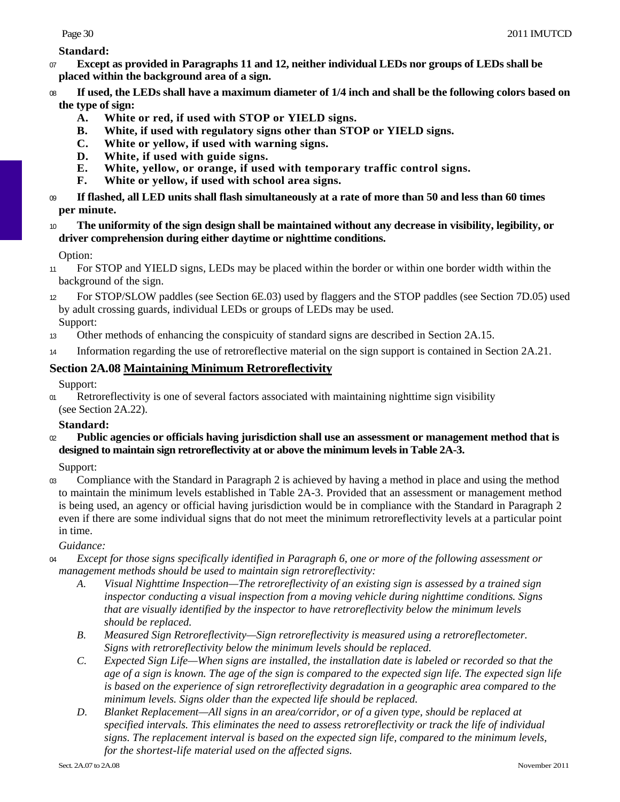**Standard:** 

- <sup>07</sup>**Except as provided in Paragraphs 11 and 12, neither individual LEDs nor groups of LEDs shall be placed within the background area of a sign.**
- <sup>08</sup>**If used, the LEDs shall have a maximum diameter of 1/4 inch and shall be the following colors based on the type of sign:** 
	- **A. White or red, if used with STOP or YIELD signs.**
	- **B. White, if used with regulatory signs other than STOP or YIELD signs.**
	- **C. White or yellow, if used with warning signs.**
	- **D. White, if used with guide signs.**
	- **E. White, yellow, or orange, if used with temporary traffic control signs.**
	- **F. White or yellow, if used with school area signs.**
- <sup>09</sup>**If flashed, all LED units shall flash simultaneously at a rate of more than 50 and less than 60 times per minute.**
- <sup>10</sup>**The uniformity of the sign design shall be maintained without any decrease in visibility, legibility, or driver comprehension during either daytime or nighttime conditions.**

Option:

- <sup>11</sup>For STOP and YIELD signs, LEDs may be placed within the border or within one border width within the background of the sign.
- <sup>12</sup>For STOP/SLOW paddles (see Section 6E.03) used by flaggers and the STOP paddles (see Section 7D.05) used by adult crossing guards, individual LEDs or groups of LEDs may be used. Support:
- 13 Other methods of enhancing the conspicuity of standard signs are described in Section 2A.15.
- 14 Information regarding the use of retroreflective material on the sign support is contained in Section 2A.21.

# **Section 2A.08 Maintaining Minimum Retroreflectivity**

- Support:
- <sup>01</sup>Retroreflectivity is one of several factors associated with maintaining nighttime sign visibility (see Section 2A.22).

**Standard:** 

<sup>02</sup>**Public agencies or officials having jurisdiction shall use an assessment or management method that is designed to maintain sign retroreflectivity at or above the minimum levels in Table 2A-3.** 

Support:

<sup>03</sup>Compliance with the Standard in Paragraph 2 is achieved by having a method in place and using the method to maintain the minimum levels established in Table 2A-3. Provided that an assessment or management method is being used, an agency or official having jurisdiction would be in compliance with the Standard in Paragraph 2 even if there are some individual signs that do not meet the minimum retroreflectivity levels at a particular point in time.

*Guidance:* 

- <sup>04</sup>*Except for those signs specifically identified in Paragraph 6, one or more of the following assessment or management methods should be used to maintain sign retroreflectivity:* 
	- *A. Visual Nighttime Inspection—The retroreflectivity of an existing sign is assessed by a trained sign inspector conducting a visual inspection from a moving vehicle during nighttime conditions. Signs that are visually identified by the inspector to have retroreflectivity below the minimum levels should be replaced.*
	- *B. Measured Sign Retroreflectivity—Sign retroreflectivity is measured using a retroreflectometer. Signs with retroreflectivity below the minimum levels should be replaced.*
	- *C. Expected Sign Life—When signs are installed, the installation date is labeled or recorded so that the age of a sign is known. The age of the sign is compared to the expected sign life. The expected sign life is based on the experience of sign retroreflectivity degradation in a geographic area compared to the minimum levels. Signs older than the expected life should be replaced.*
	- *D. Blanket Replacement—All signs in an area/corridor, or of a given type, should be replaced at specified intervals. This eliminates the need to assess retroreflectivity or track the life of individual signs. The replacement interval is based on the expected sign life, compared to the minimum levels, for the shortest-life material used on the affected signs.*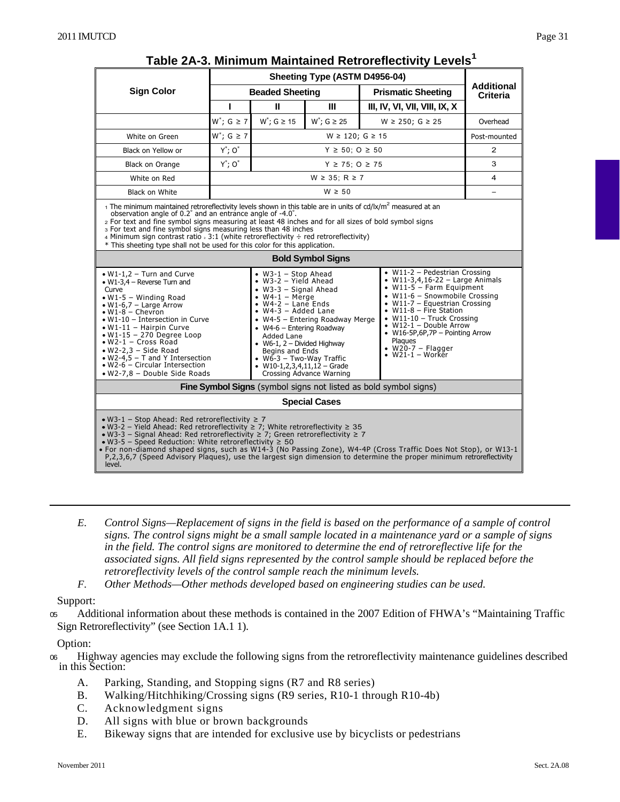|                                                                                                                                                                                                                                                                                                                                                                                                                                                                                                                                                                                  | Sheeting Type (ASTM D4956-04) |                                                                                                                                                                                                                                                                                                                      |                                                             |                                                                                                                                                                                                                                                                                                                 |                               |  |  |  |  |  |
|----------------------------------------------------------------------------------------------------------------------------------------------------------------------------------------------------------------------------------------------------------------------------------------------------------------------------------------------------------------------------------------------------------------------------------------------------------------------------------------------------------------------------------------------------------------------------------|-------------------------------|----------------------------------------------------------------------------------------------------------------------------------------------------------------------------------------------------------------------------------------------------------------------------------------------------------------------|-------------------------------------------------------------|-----------------------------------------------------------------------------------------------------------------------------------------------------------------------------------------------------------------------------------------------------------------------------------------------------------------|-------------------------------|--|--|--|--|--|
| <b>Sign Color</b>                                                                                                                                                                                                                                                                                                                                                                                                                                                                                                                                                                |                               | <b>Beaded Sheeting</b>                                                                                                                                                                                                                                                                                               |                                                             | <b>Prismatic Sheeting</b>                                                                                                                                                                                                                                                                                       | <b>Additional</b><br>Criteria |  |  |  |  |  |
|                                                                                                                                                                                                                                                                                                                                                                                                                                                                                                                                                                                  | п                             | $\mathbf{u}$                                                                                                                                                                                                                                                                                                         | Ш                                                           | III, IV, VI, VII, VIII, IX, X                                                                                                                                                                                                                                                                                   |                               |  |  |  |  |  |
|                                                                                                                                                                                                                                                                                                                                                                                                                                                                                                                                                                                  | $W^*$ ; G $\geq$ 7            | Overhead                                                                                                                                                                                                                                                                                                             |                                                             |                                                                                                                                                                                                                                                                                                                 |                               |  |  |  |  |  |
| White on Green                                                                                                                                                                                                                                                                                                                                                                                                                                                                                                                                                                   | $W^*$ ; G $\geq$ 7            | $W \ge 120$ ; $G \ge 15$<br>Post-mounted                                                                                                                                                                                                                                                                             |                                                             |                                                                                                                                                                                                                                                                                                                 |                               |  |  |  |  |  |
| Black on Yellow or                                                                                                                                                                                                                                                                                                                                                                                                                                                                                                                                                               | $Y^*$ ; O <sup>*</sup>        |                                                                                                                                                                                                                                                                                                                      | $Y \ge 50$ ; O $\ge 50$                                     |                                                                                                                                                                                                                                                                                                                 | $\overline{2}$                |  |  |  |  |  |
| <b>Black on Orange</b>                                                                                                                                                                                                                                                                                                                                                                                                                                                                                                                                                           | $Y^*$ ; O $^*$                | $Y \ge 75$ ; O ≥ 75                                                                                                                                                                                                                                                                                                  |                                                             |                                                                                                                                                                                                                                                                                                                 |                               |  |  |  |  |  |
| White on Red                                                                                                                                                                                                                                                                                                                                                                                                                                                                                                                                                                     |                               |                                                                                                                                                                                                                                                                                                                      | $W \geq 35$ ; R $\geq 7$                                    |                                                                                                                                                                                                                                                                                                                 | 4                             |  |  |  |  |  |
| Black on White                                                                                                                                                                                                                                                                                                                                                                                                                                                                                                                                                                   |                               |                                                                                                                                                                                                                                                                                                                      | $W \geq 50$                                                 |                                                                                                                                                                                                                                                                                                                 |                               |  |  |  |  |  |
| 1 The minimum maintained retroreflectivity levels shown in this table are in units of cd/lx/m <sup>2</sup> measured at an<br>observation angle of 0.2° and an entrance angle of -4.0°.<br>2 For text and fine symbol signs measuring at least 48 inches and for all sizes of bold symbol signs<br>3 For text and fine symbol signs measuring less than 48 inches<br>4 Minimum sign contrast ratio $\frac{1}{2}$ 3:1 (white retroreflectivity ÷ red retroreflectivity)<br>* This sheeting type shall not be used for this color for this application.<br><b>Bold Symbol Signs</b> |                               |                                                                                                                                                                                                                                                                                                                      |                                                             |                                                                                                                                                                                                                                                                                                                 |                               |  |  |  |  |  |
|                                                                                                                                                                                                                                                                                                                                                                                                                                                                                                                                                                                  |                               |                                                                                                                                                                                                                                                                                                                      |                                                             | • W11-2 – Pedestrian Crossing                                                                                                                                                                                                                                                                                   |                               |  |  |  |  |  |
| $\bullet$ W1-1,2 - Turn and Curve<br>$\bullet$ W1-3.4 – Reverse Turn and<br>Curve<br>$\bullet$ W1-5 - Winding Road<br>$\bullet$ W1-6,7 - Large Arrow<br>$\bullet$ W1-8 – Chevron<br>• W1-10 - Intersection in Curve<br>• W1-11 – Hairpin Curve<br>$W1-15 - 270$ Degree Loop<br>$\bullet$ W2-1 - Cross Road<br>$\bullet$ W2-2,3 - Side Road<br>$\bullet$ W2-4,5 - T and Y Intersection<br>$\bullet$ W2-6 <sup>'</sup> - Circular Intersection<br>• W2-7,8 - Double Side Roads                                                                                                     |                               | $W3-1$ – Stop Ahead<br>• W3-2 – Yield Ahead<br>$\bullet$ W3-3 - Signal Ahead<br>$\bullet$ W4-1 - Merge<br>· W4-2 - Lane Ends<br>• W4-3 - Added Lane<br>• W4-6 - Entering Roadway<br>Added Lane<br>• W6-1, $2$ – Divided Highway<br>Begins and Ends<br>• W6-3 - Two-Way Traffic<br>• $W10-1, 2, 3, 4, 11, 12 - Grade$ | • W4-5 - Entering Roadway Merge<br>Crossing Advance Warning | • $W11-3,4,16-22$ – Large Animals<br>• W11-5 - Farm Equipment<br>• W11-6 - Snowmobile Crossing<br>• W11-7 - Equestrian Crossing<br>• W11-8 - Fire Station<br>• W11-10 - Truck Crossing<br>• W12-1 - Double Arrow<br>• W16-5P,6P,7P - Pointing Arrow<br>Plagues<br>$W20-7$ – Flagger<br>$\bullet$ W21-1 – Worker |                               |  |  |  |  |  |
| <b>Fine Symbol Signs</b> (symbol signs not listed as bold symbol signs)                                                                                                                                                                                                                                                                                                                                                                                                                                                                                                          |                               |                                                                                                                                                                                                                                                                                                                      |                                                             |                                                                                                                                                                                                                                                                                                                 |                               |  |  |  |  |  |
| <b>Special Cases</b>                                                                                                                                                                                                                                                                                                                                                                                                                                                                                                                                                             |                               |                                                                                                                                                                                                                                                                                                                      |                                                             |                                                                                                                                                                                                                                                                                                                 |                               |  |  |  |  |  |
| • W3-1 - Stop Ahead: Red retroreflectivity $\geq 7$<br>• W3-2 - Yield Ahead: Red retroreflectivity $\geq$ 7; White retroreflectivity $\geq$ 35<br>• W3-3 - Signal Ahead: Red retroreflectivity $\geq$ 7; Green retroreflectivity $\geq$ 7<br>• W3-5 – Speed Reduction: White retroreflectivity $\geq 50$<br>$\bullet$ For non-diamond shaped signs, such as W14-3 (No Passing Zone), W4-4P (Cross Traffic Does Not Stop), or W13-1<br>P,2,3,6,7 (Speed Advisory Plaques), use the largest sign dimension to determine the proper minimum retroreflectivity<br>level.             |                               |                                                                                                                                                                                                                                                                                                                      |                                                             |                                                                                                                                                                                                                                                                                                                 |                               |  |  |  |  |  |

|  | Table 2A-3. Minimum Maintained Retroreflectivity Levels <sup>1</sup> |  |
|--|----------------------------------------------------------------------|--|
|  |                                                                      |  |

- *E. Control Signs—Replacement of signs in the field is based on the performance of a sample of control signs. The control signs might be a small sample located in a maintenance yard or a sample of signs in the field. The control signs are monitored to determine the end of retroreflective life for the associated signs. All field signs represented by the control sample should be replaced before the retroreflectivity levels of the control sample reach the minimum levels.*
- *F. Other Methods—Other methods developed based on engineering studies can be used.*

#### Support:

<sup>05</sup>Additional information about these methods is contained in the 2007 Edition of FHWA's "Maintaining Traffic Sign Retroreflectivity" (see Section 1A.1 1).

#### Option:

- <sup>06</sup>Highway agencies may exclude the following signs from the retroreflectivity maintenance guidelines described in this Section:
	- A. Parking, Standing, and Stopping signs (R7 and R8 series)
	- B. Walking/Hitchhiking/Crossing signs (R9 series, R10-1 through R10-4b)
	- C. Acknowledgment signs
	- D. All signs with blue or brown backgrounds
	- E. Bikeway signs that are intended for exclusive use by bicyclists or pedestrians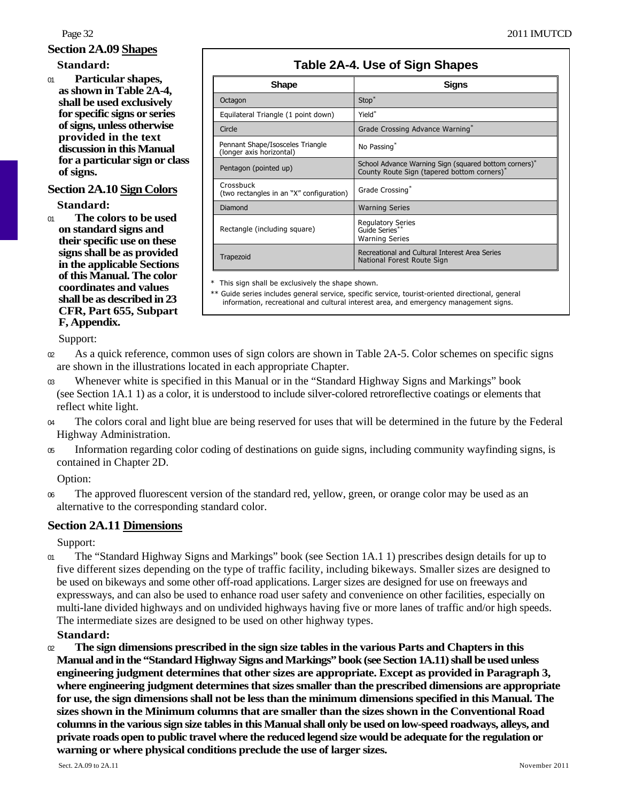# **Section 2A.09 Shapes**

#### **Standard:**

<sup>01</sup>**Particular shapes, as shown in Table 2A-4, shall be used exclusively for specific signs or series of signs, unless otherwise provided in the text discussion in this Manual for a particular sign or class of signs.** 

# **Section 2A.10 Sign Colors**

**Standard:** 

<sup>01</sup>**The colors to be used on standard signs and their specific use on these signs shall be as provided in the applicable Sections of this Manual. The color coordinates and values shall be as described in 23 CFR, Part 655, Subpart F, Appendix.** 

Support:

# **Table 2A-4. Use of Sign Shapes**

| <b>Shape</b>                                                 | Signs                                                                                                                        |
|--------------------------------------------------------------|------------------------------------------------------------------------------------------------------------------------------|
| Octagon                                                      | Stop <sup>*</sup>                                                                                                            |
| Equilateral Triangle (1 point down)                          | Yield*                                                                                                                       |
| Circle                                                       | Grade Crossing Advance Warning*                                                                                              |
| Pennant Shape/Isosceles Triangle<br>(longer axis horizontal) | No Passing*                                                                                                                  |
| Pentagon (pointed up)                                        | School Advance Warning Sign (squared bottom corners) <sup>*</sup><br>County Route Sign (tapered bottom corners) <sup>*</sup> |
| Crossbuck<br>(two rectangles in an "X" configuration)        | Grade Crossing*                                                                                                              |
| Diamond                                                      | <b>Warning Series</b>                                                                                                        |
| Rectangle (including square)                                 | <b>Regulatory Series</b><br>Guide Series*<br><b>Warning Series</b>                                                           |
| Trapezoid                                                    | Recreational and Cultural Interest Area Series<br>National Forest Route Sign                                                 |

\* This sign shall be exclusively the shape shown.

\*\* Guide series includes general service, specific service, tourist-oriented directional, general information, recreational and cultural interest area, and emergency management signs.

- <sup>02</sup>As a quick reference, common uses of sign colors are shown in Table 2A-5. Color schemes on specific signs are shown in the illustrations located in each appropriate Chapter.
- <sup>03</sup>Whenever white is specified in this Manual or in the "Standard Highway Signs and Markings" book (see Section 1A.1 1) as a color, it is understood to include silver-colored retroreflective coatings or elements that reflect white light.
- <sup>04</sup>The colors coral and light blue are being reserved for uses that will be determined in the future by the Federal Highway Administration.
- <sup>05</sup>Information regarding color coding of destinations on guide signs, including community wayfinding signs, is contained in Chapter 2D.

# Option:

<sup>06</sup>The approved fluorescent version of the standard red, yellow, green, or orange color may be used as an alternative to the corresponding standard color.

# **Section 2A.11 Dimensions**

Support:

<sup>01</sup>The "Standard Highway Signs and Markings" book (see Section 1A.1 1) prescribes design details for up to five different sizes depending on the type of traffic facility, including bikeways. Smaller sizes are designed to be used on bikeways and some other off-road applications. Larger sizes are designed for use on freeways and expressways, and can also be used to enhance road user safety and convenience on other facilities, especially on multi-lane divided highways and on undivided highways having five or more lanes of traffic and/or high speeds. The intermediate sizes are designed to be used on other highway types.

# **Standard:**

<sup>02</sup>**The sign dimensions prescribed in the sign size tables in the various Parts and Chapters in this Manual and in the "Standard Highway Signs and Markings" book (see Section 1A.11) shall be used unless engineering judgment determines that other sizes are appropriate. Except as provided in Paragraph 3, where engineering judgment determines that sizes smaller than the prescribed dimensions are appropriate for use, the sign dimensions shall not be less than the minimum dimensions specified in this Manual. The sizes shown in the Minimum columns that are smaller than the sizes shown in the Conventional Road columns in the various sign size tables in this Manual shall only be used on low-speed roadways, alleys, and private roads open to public travel where the reduced legend size would be adequate for the regulation or warning or where physical conditions preclude the use of larger sizes.**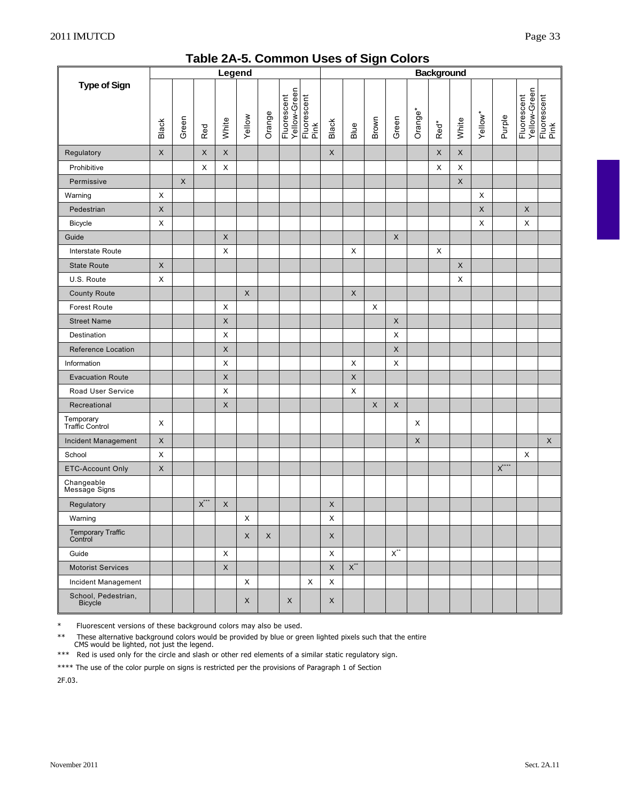|                                       | Legend                    |          |                    |                           | <b>Background</b> |        |                             |                     |                           |                   |             |                           |         |                  |                           |                           |                    |                             |                     |
|---------------------------------------|---------------------------|----------|--------------------|---------------------------|-------------------|--------|-----------------------------|---------------------|---------------------------|-------------------|-------------|---------------------------|---------|------------------|---------------------------|---------------------------|--------------------|-----------------------------|---------------------|
| <b>Type of Sign</b>                   | <b>Black</b>              | Green    | Red                | White                     | Yellow            | Orange | Fluorescent<br>Yellow-Green | Fluorescent<br>Pink | Black                     | Blue              | Brown       | Green                     | Orange* | Red <sup>*</sup> | White                     | Yellow <sup>*</sup>       | Purple             | Yellow-Green<br>Fluorescent | Fluorescent<br>Pink |
| Regulatory                            | $\mathsf X$               |          | X                  | $\mathsf X$               |                   |        |                             |                     | $\mathsf X$               |                   |             |                           |         | $\mathsf X$      | $\boldsymbol{\mathsf{X}}$ |                           |                    |                             |                     |
| Prohibitive                           |                           |          | X                  | X                         |                   |        |                             |                     |                           |                   |             |                           |         | X                | X                         |                           |                    |                             |                     |
| Permissive                            |                           | $\times$ |                    |                           |                   |        |                             |                     |                           |                   |             |                           |         |                  | $\mathsf X$               |                           |                    |                             |                     |
| Warning                               | X                         |          |                    |                           |                   |        |                             |                     |                           |                   |             |                           |         |                  |                           | X                         |                    |                             |                     |
| Pedestrian                            | $\boldsymbol{\mathsf{X}}$ |          |                    |                           |                   |        |                             |                     |                           |                   |             |                           |         |                  |                           | $\boldsymbol{\mathsf{X}}$ |                    | $\mathsf X$                 |                     |
| Bicycle                               | X                         |          |                    |                           |                   |        |                             |                     |                           |                   |             |                           |         |                  |                           | Х                         |                    | X                           |                     |
| Guide                                 |                           |          |                    | X                         |                   |        |                             |                     |                           |                   |             | X                         |         |                  |                           |                           |                    |                             |                     |
| Interstate Route                      |                           |          |                    | $\pmb{\times}$            |                   |        |                             |                     |                           | X                 |             |                           |         | X                |                           |                           |                    |                             |                     |
| <b>State Route</b>                    | $\times$                  |          |                    |                           |                   |        |                             |                     |                           |                   |             |                           |         |                  | $\mathsf X$               |                           |                    |                             |                     |
| U.S. Route                            | X                         |          |                    |                           |                   |        |                             |                     |                           |                   |             |                           |         |                  | X                         |                           |                    |                             |                     |
| <b>County Route</b>                   |                           |          |                    |                           | X                 |        |                             |                     |                           | X                 |             |                           |         |                  |                           |                           |                    |                             |                     |
| Forest Route                          |                           |          |                    | X                         |                   |        |                             |                     |                           |                   | X           |                           |         |                  |                           |                           |                    |                             |                     |
| <b>Street Name</b>                    |                           |          |                    | $\boldsymbol{\mathsf{X}}$ |                   |        |                             |                     |                           |                   |             | $\boldsymbol{\mathsf{X}}$ |         |                  |                           |                           |                    |                             |                     |
| Destination                           |                           |          |                    | X                         |                   |        |                             |                     |                           |                   |             | X                         |         |                  |                           |                           |                    |                             |                     |
| Reference Location                    |                           |          |                    | X                         |                   |        |                             |                     |                           |                   |             | $\pmb{\times}$            |         |                  |                           |                           |                    |                             |                     |
| Information                           |                           |          |                    | Х                         |                   |        |                             |                     |                           | X                 |             | X                         |         |                  |                           |                           |                    |                             |                     |
| <b>Evacuation Route</b>               |                           |          |                    | $\mathsf X$               |                   |        |                             |                     |                           | X                 |             |                           |         |                  |                           |                           |                    |                             |                     |
| Road User Service                     |                           |          |                    | $\pmb{\times}$            |                   |        |                             |                     |                           | X                 |             |                           |         |                  |                           |                           |                    |                             |                     |
| Recreational                          |                           |          |                    | X                         |                   |        |                             |                     |                           |                   | $\mathsf X$ | $\boldsymbol{\mathsf{X}}$ |         |                  |                           |                           |                    |                             |                     |
| Temporary<br>Traffic Control          | X                         |          |                    |                           |                   |        |                             |                     |                           |                   |             |                           | X       |                  |                           |                           |                    |                             |                     |
| Incident Management                   | $\times$                  |          |                    |                           |                   |        |                             |                     |                           |                   |             |                           | X       |                  |                           |                           |                    |                             | X                   |
| School                                | $\boldsymbol{\mathsf{X}}$ |          |                    |                           |                   |        |                             |                     |                           |                   |             |                           |         |                  |                           |                           |                    | X                           |                     |
| ETC-Account Only                      | $\boldsymbol{\mathsf{X}}$ |          |                    |                           |                   |        |                             |                     |                           |                   |             |                           |         |                  |                           |                           | $\overline{X}$ *** |                             |                     |
| Changeable<br>Message Signs           |                           |          |                    |                           |                   |        |                             |                     |                           |                   |             |                           |         |                  |                           |                           |                    |                             |                     |
| Regulatory                            |                           |          | $\mathsf{X}^{***}$ | $\mathsf X$               |                   |        |                             |                     | X                         |                   |             |                           |         |                  |                           |                           |                    |                             |                     |
| Warning                               |                           |          |                    |                           | $\mathsf X$       |        |                             |                     | $\pmb{\mathsf{X}}$        |                   |             |                           |         |                  |                           |                           |                    |                             |                     |
| <b>Temporary Traffic</b><br>Control   |                           |          |                    |                           | $\mathsf X$       | X      |                             |                     | X                         |                   |             |                           |         |                  |                           |                           |                    |                             |                     |
| Guide                                 |                           |          |                    | X                         |                   |        |                             |                     | X                         |                   |             | $\mathsf{X}^{**}$         |         |                  |                           |                           |                    |                             |                     |
| <b>Motorist Services</b>              |                           |          |                    | $\mathsf X$               |                   |        |                             |                     | $\boldsymbol{\mathsf{X}}$ | $\mathsf{X}^{**}$ |             |                           |         |                  |                           |                           |                    |                             |                     |
| Incident Management                   |                           |          |                    |                           | X                 |        |                             | X                   | X                         |                   |             |                           |         |                  |                           |                           |                    |                             |                     |
| School, Pedestrian,<br><b>Bicycle</b> |                           |          |                    |                           | $\mathsf X$       |        | $\mathsf X$                 |                     | X                         |                   |             |                           |         |                  |                           |                           |                    |                             |                     |

# **Table 2A-5. Common Uses of Sign Colors**

\* Fluorescent versions of these background colors may also be used.

\*\* These alternative background colors would be provided by blue or green lighted pixels such that the entire CMS would be lighted, not just the legend.

\*\*\* Red is used only for the circle and slash or other red elements of a similar static regulatory sign.

\*\*\*\* The use of the color purple on signs is restricted per the provisions of Paragraph 1 of Section

2F.03.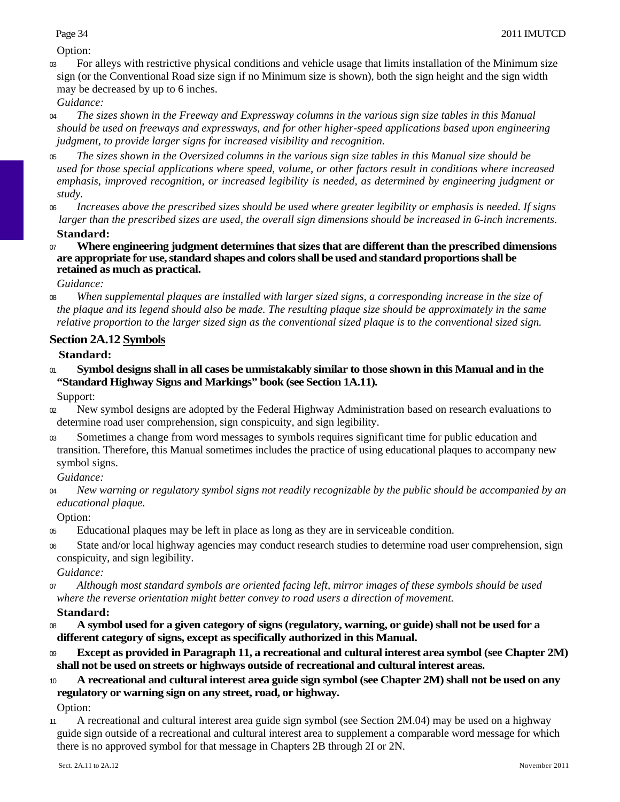<sup>03</sup>For alleys with restrictive physical conditions and vehicle usage that limits installation of the Minimum size sign (or the Conventional Road size sign if no Minimum size is shown), both the sign height and the sign width may be decreased by up to 6 inches.

*Guidance:* 

- <sup>04</sup>*The sizes shown in the Freeway and Expressway columns in the various sign size tables in this Manual should be used on freeways and expressways, and for other higher-speed applications based upon engineering judgment, to provide larger signs for increased visibility and recognition.*
- <sup>05</sup>*The sizes shown in the Oversized columns in the various sign size tables in this Manual size should be used for those special applications where speed, volume, or other factors result in conditions where increased emphasis, improved recognition, or increased legibility is needed, as determined by engineering judgment or study.*
- <sup>06</sup>*Increases above the prescribed sizes should be used where greater legibility or emphasis is needed. If signs larger than the prescribed sizes are used, the overall sign dimensions should be increased in 6-inch increments.* **Standard:**
- <sup>07</sup>**Where engineering judgment determines that sizes that are different than the prescribed dimensions are appropriate for use, standard shapes and colors shall be used and standard proportions shall be retained as much as practical.**

*Guidance:* 

<sup>08</sup>*When supplemental plaques are installed with larger sized signs, a corresponding increase in the size of the plaque and its legend should also be made. The resulting plaque size should be approximately in the same relative proportion to the larger sized sign as the conventional sized plaque is to the conventional sized sign.* 

# **Section 2A.12 Symbols**

**Standard:** 

<sup>01</sup>**Symbol designs shall in all cases be unmistakably similar to those shown in this Manual and in the "Standard Highway Signs and Markings" book (see Section 1A.11).** 

Support:

- <sup>02</sup>New symbol designs are adopted by the Federal Highway Administration based on research evaluations to determine road user comprehension, sign conspicuity, and sign legibility.
- <sup>03</sup>Sometimes a change from word messages to symbols requires significant time for public education and transition. Therefore, this Manual sometimes includes the practice of using educational plaques to accompany new symbol signs.

*Guidance:* 

<sup>04</sup>*New warning or regulatory symbol signs not readily recognizable by the public should be accompanied by an educational plaque.* 

Option:

- <sup>05</sup>Educational plaques may be left in place as long as they are in serviceable condition.
- 06 State and/or local highway agencies may conduct research studies to determine road user comprehension, sign conspicuity, and sign legibility.

*Guidance:* 

<sup>07</sup>*Although most standard symbols are oriented facing left, mirror images of these symbols should be used where the reverse orientation might better convey to road users a direction of movement.* 

# **Standard:**

- <sup>08</sup>**A symbol used for a given category of signs (regulatory, warning, or guide) shall not be used for a different category of signs, except as specifically authorized in this Manual.**
- <sup>09</sup>**Except as provided in Paragraph 11, a recreational and cultural interest area symbol (see Chapter 2M) shall not be used on streets or highways outside of recreational and cultural interest areas.**
- <sup>10</sup>**A recreational and cultural interest area guide sign symbol (see Chapter 2M) shall not be used on any regulatory or warning sign on any street, road, or highway.**

Option:

<sup>11</sup>A recreational and cultural interest area guide sign symbol (see Section 2M.04) may be used on a highway guide sign outside of a recreational and cultural interest area to supplement a comparable word message for which there is no approved symbol for that message in Chapters 2B through 2I or 2N.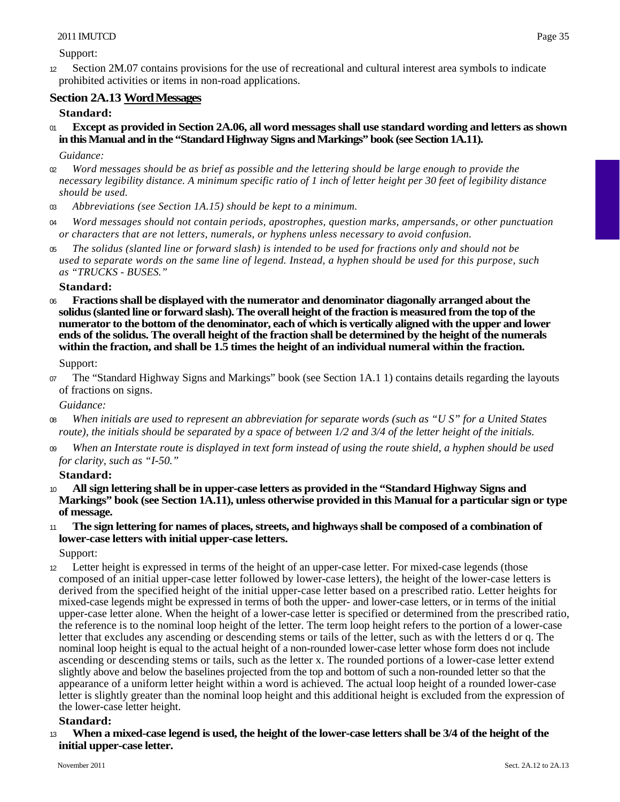Support:

12 Section 2M.07 contains provisions for the use of recreational and cultural interest area symbols to indicate prohibited activities or items in non-road applications.

## **Section 2A.13 Word Messages**

#### **Standard:**

<sup>01</sup>**Except as provided in Section 2A.06, all word messages shall use standard wording and letters as shown in this Manual and in the "Standard Highway Signs and Markings" book (see Section 1A.11).** 

# *Guidance:*

- <sup>02</sup>*Word messages should be as brief as possible and the lettering should be large enough to provide the necessary legibility distance. A minimum specific ratio of 1 inch of letter height per 30 feet of legibility distance should be used.*
- <sup>03</sup>*Abbreviations (see Section 1A.15) should be kept to a minimum.*
- <sup>04</sup>*Word messages should not contain periods, apostrophes, question marks, ampersands, or other punctuation or characters that are not letters, numerals, or hyphens unless necessary to avoid confusion.*
- <sup>05</sup>*The solidus (slanted line or forward slash) is intended to be used for fractions only and should not be used to separate words on the same line of legend. Instead, a hyphen should be used for this purpose, such as "TRUCKS - BUSES."*

#### **Standard:**

<sup>06</sup>**Fractions shall be displayed with the numerator and denominator diagonally arranged about the solidus (slanted line or forward slash). The overall height of the fraction is measured from the top of the numerator to the bottom of the denominator, each of which is vertically aligned with the upper and lower ends of the solidus. The overall height of the fraction shall be determined by the height of the numerals within the fraction, and shall be 1.5 times the height of an individual numeral within the fraction.** 

Support:

<sup>07</sup>The "Standard Highway Signs and Markings" book (see Section 1A.1 1) contains details regarding the layouts of fractions on signs.

#### *Guidance:*

- <sup>08</sup>*When initials are used to represent an abbreviation for separate words (such as "U S" for a United States route), the initials should be separated by a space of between 1/2 and 3/4 of the letter height of the initials.*
- <sup>09</sup>*When an Interstate route is displayed in text form instead of using the route shield, a hyphen should be used for clarity, such as "I-50."*

#### **Standard:**

- <sup>10</sup>**All sign lettering shall be in upper-case letters as provided in the "Standard Highway Signs and Markings" book (see Section 1A.11), unless otherwise provided in this Manual for a particular sign or type of message.**
- <sup>11</sup>**The sign lettering for names of places, streets, and highways shall be composed of a combination of lower-case letters with initial upper-case letters.**

Support:

12 Letter height is expressed in terms of the height of an upper-case letter. For mixed-case legends (those composed of an initial upper-case letter followed by lower-case letters), the height of the lower-case letters is derived from the specified height of the initial upper-case letter based on a prescribed ratio. Letter heights for mixed-case legends might be expressed in terms of both the upper- and lower-case letters, or in terms of the initial upper-case letter alone. When the height of a lower-case letter is specified or determined from the prescribed ratio, the reference is to the nominal loop height of the letter. The term loop height refers to the portion of a lower-case letter that excludes any ascending or descending stems or tails of the letter, such as with the letters d or q. The nominal loop height is equal to the actual height of a non-rounded lower-case letter whose form does not include ascending or descending stems or tails, such as the letter x. The rounded portions of a lower-case letter extend slightly above and below the baselines projected from the top and bottom of such a non-rounded letter so that the appearance of a uniform letter height within a word is achieved. The actual loop height of a rounded lower-case letter is slightly greater than the nominal loop height and this additional height is excluded from the expression of the lower-case letter height.

#### **Standard:**

<sup>13</sup>**When a mixed-case legend is used, the height of the lower-case letters shall be 3/4 of the height of the initial upper-case letter.**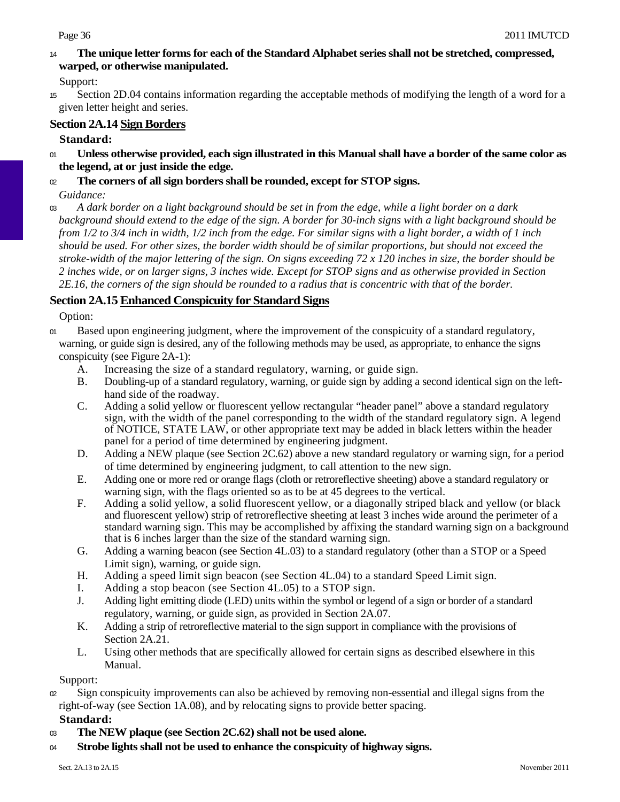# <sup>14</sup>**The unique letter forms for each of the Standard Alphabet series shall not be stretched, compressed, warped, or otherwise manipulated.**

Support:

<sup>15</sup>Section 2D.04 contains information regarding the acceptable methods of modifying the length of a word for a given letter height and series.

# **Section 2A.14 Sign Borders**

# **Standard:**

- <sup>01</sup>**Unless otherwise provided, each sign illustrated in this Manual shall have a border of the same color as the legend, at or just inside the edge.**
- <sup>02</sup>**The corners of all sign borders shall be rounded, except for STOP signs.**  *Guidance:*
- <sup>03</sup>*A dark border on a light background should be set in from the edge, while a light border on a dark background should extend to the edge of the sign. A border for 30-inch signs with a light background should be from 1/2 to 3/4 inch in width, 1/2 inch from the edge. For similar signs with a light border, a width of 1 inch should be used. For other sizes, the border width should be of similar proportions, but should not exceed the stroke-width of the major lettering of the sign. On signs exceeding 72 x 120 inches in size, the border should be 2 inches wide, or on larger signs, 3 inches wide. Except for STOP signs and as otherwise provided in Section 2E.16, the corners of the sign should be rounded to a radius that is concentric with that of the border.*

# **Section 2A.15 Enhanced Conspicuity for Standard Signs**

Option:

- <sup>01</sup>Based upon engineering judgment, where the improvement of the conspicuity of a standard regulatory, warning, or guide sign is desired, any of the following methods may be used, as appropriate, to enhance the signs conspicuity (see Figure 2A-1):
	- A. Increasing the size of a standard regulatory, warning, or guide sign.
	- B. Doubling-up of a standard regulatory, warning, or guide sign by adding a second identical sign on the lefthand side of the roadway.
	- C. Adding a solid yellow or fluorescent yellow rectangular "header panel" above a standard regulatory sign, with the width of the panel corresponding to the width of the standard regulatory sign. A legend of NOTICE, STATE LAW, or other appropriate text may be added in black letters within the header panel for a period of time determined by engineering judgment.
	- D. Adding a NEW plaque (see Section 2C.62) above a new standard regulatory or warning sign, for a period of time determined by engineering judgment, to call attention to the new sign.
	- E. Adding one or more red or orange flags (cloth or retroreflective sheeting) above a standard regulatory or warning sign, with the flags oriented so as to be at 45 degrees to the vertical.
	- F. Adding a solid yellow, a solid fluorescent yellow, or a diagonally striped black and yellow (or black and fluorescent yellow) strip of retroreflective sheeting at least 3 inches wide around the perimeter of a standard warning sign. This may be accomplished by affixing the standard warning sign on a background that is 6 inches larger than the size of the standard warning sign.
	- G. Adding a warning beacon (see Section 4L.03) to a standard regulatory (other than a STOP or a Speed Limit sign), warning, or guide sign.
	- H. Adding a speed limit sign beacon (see Section 4L.04) to a standard Speed Limit sign.
	- I. Adding a stop beacon (see Section 4L.05) to a STOP sign.
	- J. Adding light emitting diode (LED) units within the symbol or legend of a sign or border of a standard regulatory, warning, or guide sign, as provided in Section 2A.07.
	- K. Adding a strip of retroreflective material to the sign support in compliance with the provisions of Section 2A.21.
	- L. Using other methods that are specifically allowed for certain signs as described elsewhere in this Manual.

Support:

<sup>02</sup>Sign conspicuity improvements can also be achieved by removing non-essential and illegal signs from the right-of-way (see Section 1A.08), and by relocating signs to provide better spacing.

# **Standard:**

- <sup>03</sup>**The NEW plaque (see Section 2C.62) shall not be used alone.**
- 04 **Strobe lights shall not be used to enhance the conspicuity of highway signs.**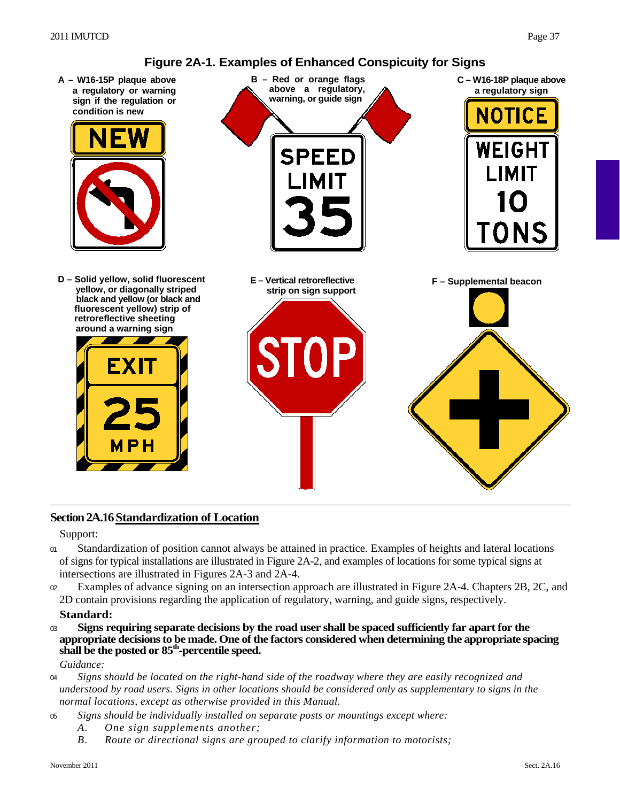

# **Figure 2A-1. Examples of Enhanced Conspicuity for Signs**

#### **Section 2A.16 Standardization of Location**

Support:

- <sup>01</sup>Standardization of position cannot always be attained in practice. Examples of heights and lateral locations of signs for typical installations are illustrated in Figure 2A-2, and examples of locations for some typical signs at intersections are illustrated in Figures 2A-3 and 2A-4.
- <sup>02</sup>Examples of advance signing on an intersection approach are illustrated in Figure 2A-4. Chapters 2B, 2C, and 2D contain provisions regarding the application of regulatory, warning, and guide signs, respectively.

#### **Standard:**

<sup>03</sup>**Signs requiring separate decisions by the road user shall be spaced sufficiently far apart for the appropriate decisions to be made. One of the factors considered when determining the appropriate spacing**  shall be the posted or  $85<sup>th</sup>$ -percentile speed.

*Guidance:* 

<sup>04</sup>*Signs should be located on the right-hand side of the roadway where they are easily recognized and understood by road users. Signs in other locations should be considered only as supplementary to signs in the normal locations, except as otherwise provided in this Manual.* 

- <sup>05</sup>*Signs should be individually installed on separate posts or mountings except where:* 
	- *A. One sign supplements another;*
	- *B. Route or directional signs are grouped to clarify information to motorists;*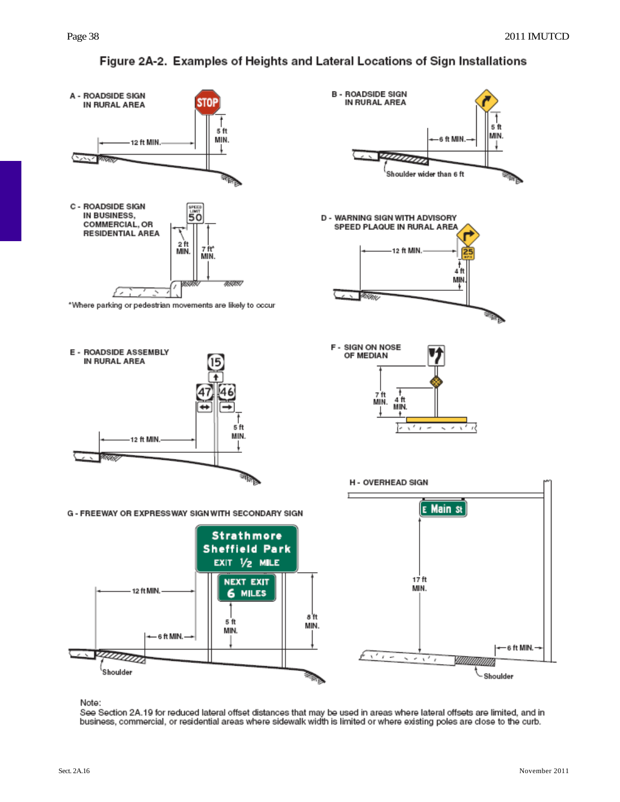# Figure 2A-2. Examples of Heights and Lateral Locations of Sign Installations



Note:

See Section 2A.19 for reduced lateral offset distances that may be used in areas where lateral offsets are limited, and in business, commercial, or residential areas where sidewalk width is limited or where existing poles are close to the curb.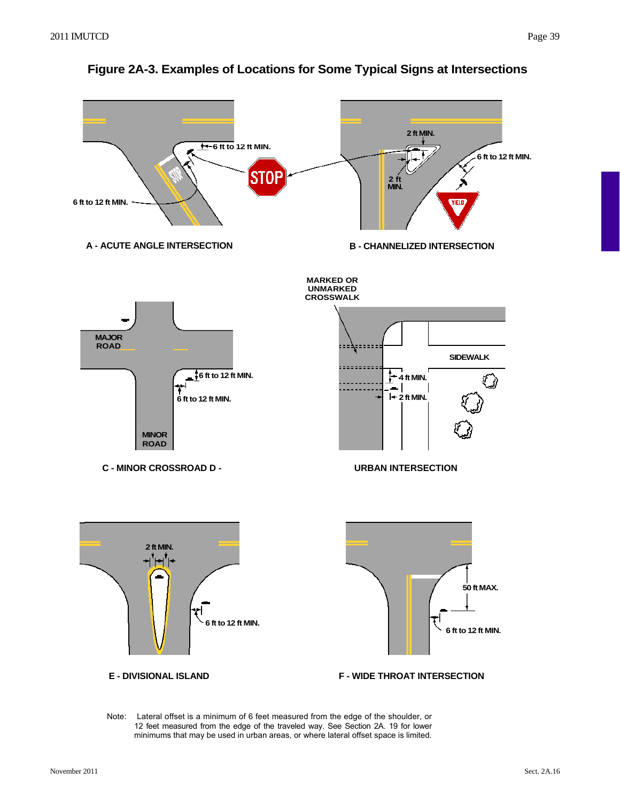

# **Figure 2A-3. Examples of Locations for Some Typical Signs at Intersections**

Note: Lateral offset is a minimum of 6 feet measured from the edge of the shoulder, or 12 feet measured from the edge of the traveled way. See Section 2A. 19 for lower minimums that may be used in urban areas, or where lateral offset space is limited.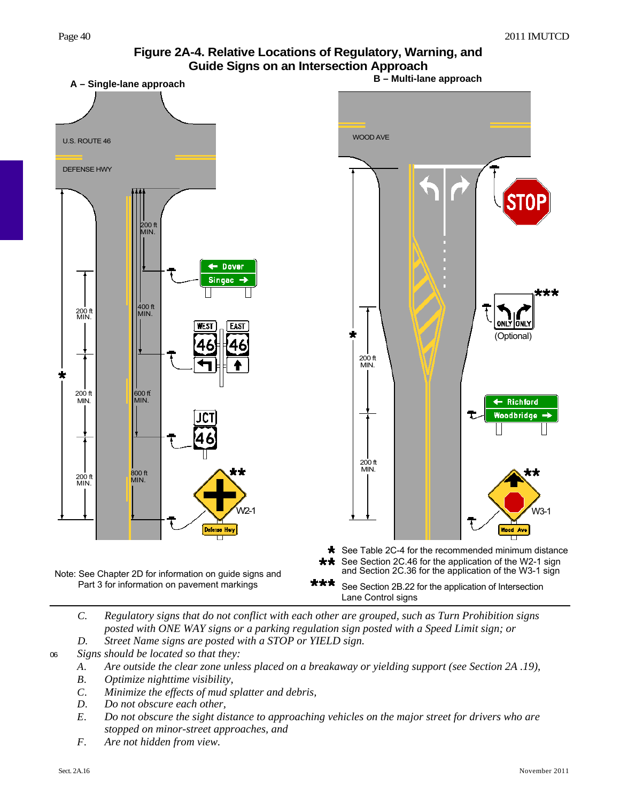

- *C. Regulatory signs that do not conflict with each other are grouped, such as Turn Prohibition signs posted with ONE WAY signs or a parking regulation sign posted with a Speed Limit sign; or*
- *D. Street Name signs are posted with a STOP or YIELD sign.*
- 06 *Signs should be located so that they:* 
	- *A. Are outside the clear zone unless placed on a breakaway or yielding support (see Section 2A .19),*
	- *B. Optimize nighttime visibility,*
	- *C. Minimize the effects of mud splatter and debris,*
	- *D. Do not obscure each other,*
	- *E. Do not obscure the sight distance to approaching vehicles on the major street for drivers who are stopped on minor-street approaches, and*
	- *F. Are not hidden from view.*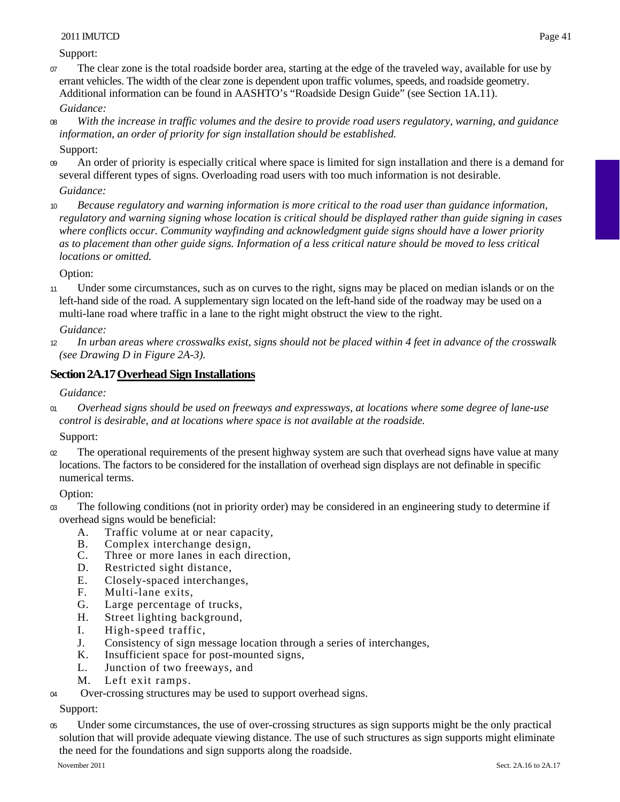Support:

<sup>07</sup>The clear zone is the total roadside border area, starting at the edge of the traveled way, available for use by errant vehicles. The width of the clear zone is dependent upon traffic volumes, speeds, and roadside geometry. Additional information can be found in AASHTO's "Roadside Design Guide" (see Section 1A.11).

*Guidance:* 

- <sup>08</sup>*With the increase in traffic volumes and the desire to provide road users regulatory, warning, and guidance information, an order of priority for sign installation should be established.*  Support:
- <sup>09</sup>An order of priority is especially critical where space is limited for sign installation and there is a demand for several different types of signs. Overloading road users with too much information is not desirable.

*Guidance:* 

<sup>10</sup> *Because regulatory and warning information is more critical to the road user than guidance information, regulatory and warning signing whose location is critical should be displayed rather than guide signing in cases where conflicts occur. Community wayfinding and acknowledgment guide signs should have a lower priority as to placement than other guide signs. Information of a less critical nature should be moved to less critical locations or omitted.* 

Option:

<sup>11</sup>Under some circumstances, such as on curves to the right, signs may be placed on median islands or on the left-hand side of the road. A supplementary sign located on the left-hand side of the roadway may be used on a multi-lane road where traffic in a lane to the right might obstruct the view to the right.

## *Guidance:*

<sup>12</sup>*In urban areas where crosswalks exist, signs should not be placed within 4 feet in advance of the crosswalk (see Drawing D in Figure 2A-3).* 

# **Section 2A.17 Overhead Sign Installations**

#### *Guidance:*

<sup>01</sup>*Overhead signs should be used on freeways and expressways, at locations where some degree of lane-use control is desirable, and at locations where space is not available at the roadside.* 

Support:

<sup>02</sup>The operational requirements of the present highway system are such that overhead signs have value at many locations. The factors to be considered for the installation of overhead sign displays are not definable in specific numerical terms.

Option:

- <sup>03</sup>The following conditions (not in priority order) may be considered in an engineering study to determine if overhead signs would be beneficial:
	- A. Traffic volume at or near capacity,
	- B. Complex interchange design,<br>C. Three or more lanes in each di
	- Three or more lanes in each direction,
	- D. Restricted sight distance,
	- E. Closely-spaced interchanges,<br>F. Multi-lane exits,
	- Multi-lane exits,
	- G. Large percentage of trucks,
	- H. Street lighting background,
	- I. High-speed traffic,
	- J. Consistency of sign message location through a series of interchanges,
	- K. Insufficient space for post-mounted signs,
	- L. Junction of two freeways, and
	- M. Left exit ramps.
- <sup>04</sup>Over-crossing structures may be used to support overhead signs.

Support:

<sup>05</sup>Under some circumstances, the use of over-crossing structures as sign supports might be the only practical solution that will provide adequate viewing distance. The use of such structures as sign supports might eliminate the need for the foundations and sign supports along the roadside.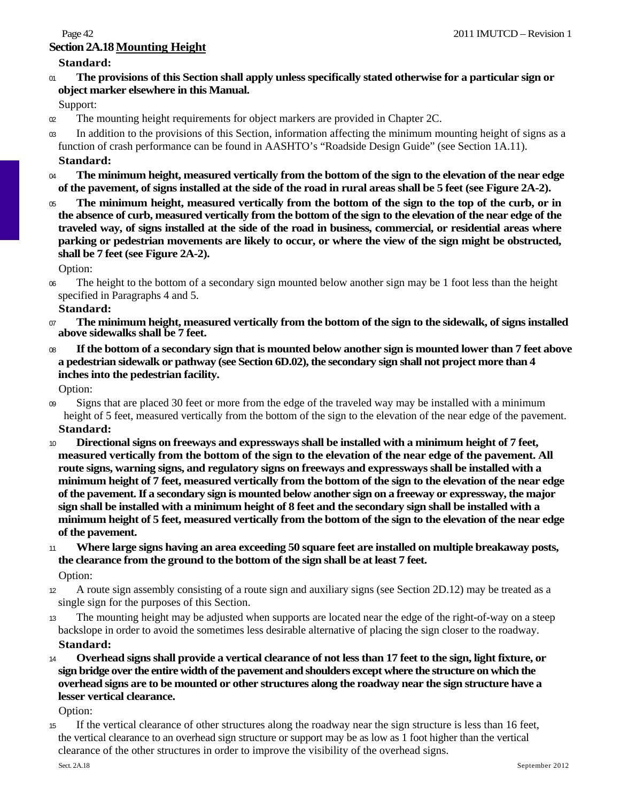# **Section 2A.18 Mounting Height**

#### **Standard:**

<sup>01</sup>**The provisions of this Section shall apply unless specifically stated otherwise for a particular sign or object marker elsewhere in this Manual.** 

Support:

- <sup>02</sup>The mounting height requirements for object markers are provided in Chapter 2C.
- <sup>03</sup>In addition to the provisions of this Section, information affecting the minimum mounting height of signs as a function of crash performance can be found in AASHTO's "Roadside Design Guide" (see Section 1A.11).

## **Standard:**

- <sup>04</sup>**The minimum height, measured vertically from the bottom of the sign to the elevation of the near edge of the pavement, of signs installed at the side of the road in rural areas shall be 5 feet (see Figure 2A-2).**
- <sup>05</sup>**The minimum height, measured vertically from the bottom of the sign to the top of the curb, or in the absence of curb, measured vertically from the bottom of the sign to the elevation of the near edge of the traveled way, of signs installed at the side of the road in business, commercial, or residential areas where parking or pedestrian movements are likely to occur, or where the view of the sign might be obstructed, shall be 7 feet (see Figure 2A-2).**

Option:

<sup>06</sup>The height to the bottom of a secondary sign mounted below another sign may be 1 foot less than the height specified in Paragraphs 4 and 5.

**Standard:** 

- <sup>07</sup>**The minimum height, measured vertically from the bottom of the sign to the sidewalk, of signs installed above sidewalks shall be 7 feet.**
- <sup>08</sup>**If the bottom of a secondary sign that is mounted below another sign is mounted lower than 7 feet above a pedestrian sidewalk or pathway (see Section 6D.02), the secondary sign shall not project more than 4 inches into the pedestrian facility.**

Option:

- Signs that are placed 30 feet or more from the edge of the traveled way may be installed with a minimum height of 5 feet, measured vertically from the bottom of the sign to the elevation of the near edge of the pavement. **Standard:**
- <sup>10</sup>**Directional signs on freeways and expressways shall be installed with a minimum height of 7 feet, measured vertically from the bottom of the sign to the elevation of the near edge of the pavement. All route signs, warning signs, and regulatory signs on freeways and expressways shall be installed with a minimum height of 7 feet, measured vertically from the bottom of the sign to the elevation of the near edge of the pavement. If a secondary sign is mounted below another sign on a freeway or expressway, the major sign shall be installed with a minimum height of 8 feet and the secondary sign shall be installed with a minimum height of 5 feet, measured vertically from the bottom of the sign to the elevation of the near edge of the pavement.**
- <sup>11</sup>**Where large signs having an area exceeding 50 square feet are installed on multiple breakaway posts, the clearance from the ground to the bottom of the sign shall be at least 7 feet.**

Option:

- 12 A route sign assembly consisting of a route sign and auxiliary signs (see Section 2D.12) may be treated as a single sign for the purposes of this Section.
- <sup>13</sup>The mounting height may be adjusted when supports are located near the edge of the right-of-way on a steep backslope in order to avoid the sometimes less desirable alternative of placing the sign closer to the roadway. **Standard:**
- <sup>14</sup>**Overhead signs shall provide a vertical clearance of not less than 17 feet to the sign, light fixture, or sign bridge over the entire width of the pavement and shoulders except where the structure on which the overhead signs are to be mounted or other structures along the roadway near the sign structure have a lesser vertical clearance.**

Option:

<sup>15</sup>If the vertical clearance of other structures along the roadway near the sign structure is less than 16 feet, the vertical clearance to an overhead sign structure or support may be as low as 1 foot higher than the vertical clearance of the other structures in order to improve the visibility of the overhead signs.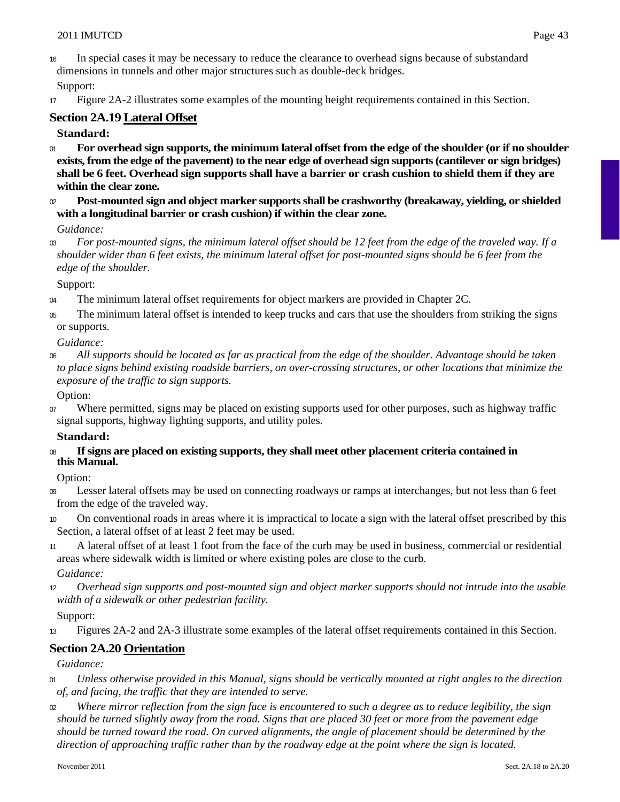<sup>16</sup>In special cases it may be necessary to reduce the clearance to overhead signs because of substandard dimensions in tunnels and other major structures such as double-deck bridges.

Support:

<sup>17</sup>Figure 2A-2 illustrates some examples of the mounting height requirements contained in this Section.

# **Section 2A.19 Lateral Offset**

**Standard:** 

- <sup>01</sup>**For overhead sign supports, the minimum lateral offset from the edge of the shoulder (or if no shoulder exists, from the edge of the pavement) to the near edge of overhead sign supports (cantilever or sign bridges) shall be 6 feet. Overhead sign supports shall have a barrier or crash cushion to shield them if they are within the clear zone.**
- <sup>02</sup>**Post-mounted sign and object marker supports shall be crashworthy (breakaway, yielding, or shielded with a longitudinal barrier or crash cushion) if within the clear zone.**

*Guidance:* 

<sup>03</sup>*For post-mounted signs, the minimum lateral offset should be 12 feet from the edge of the traveled way. If a shoulder wider than 6 feet exists, the minimum lateral offset for post-mounted signs should be 6 feet from the edge of the shoulder.* 

Support:

- <sup>04</sup>The minimum lateral offset requirements for object markers are provided in Chapter 2C.
- <sup>05</sup>The minimum lateral offset is intended to keep trucks and cars that use the shoulders from striking the signs or supports.

*Guidance:* 

<sup>06</sup>*All supports should be located as far as practical from the edge of the shoulder. Advantage should be taken to place signs behind existing roadside barriers, on over-crossing structures, or other locations that minimize the exposure of the traffic to sign supports.* 

Option:

<sup>07</sup>Where permitted, signs may be placed on existing supports used for other purposes, such as highway traffic signal supports, highway lighting supports, and utility poles.

#### **Standard:**

#### <sup>08</sup>**If signs are placed on existing supports, they shall meet other placement criteria contained in this Manual.**

Option:

- <sup>09</sup>Lesser lateral offsets may be used on connecting roadways or ramps at interchanges, but not less than 6 feet from the edge of the traveled way.
- 10 On conventional roads in areas where it is impractical to locate a sign with the lateral offset prescribed by this Section, a lateral offset of at least 2 feet may be used.
- <sup>11</sup>A lateral offset of at least 1 foot from the face of the curb may be used in business, commercial or residential areas where sidewalk width is limited or where existing poles are close to the curb.

*Guidance:* 

<sup>12</sup>*Overhead sign supports and post-mounted sign and object marker supports should not intrude into the usable width of a sidewalk or other pedestrian facility.* 

Support:

<sup>13</sup>Figures 2A-2 and 2A-3 illustrate some examples of the lateral offset requirements contained in this Section.

# **Section 2A.20 Orientation**

*Guidance:* 

- <sup>01</sup>*Unless otherwise provided in this Manual, signs should be vertically mounted at right angles to the direction of, and facing, the traffic that they are intended to serve.*
- <sup>02</sup>*Where mirror reflection from the sign face is encountered to such a degree as to reduce legibility, the sign should be turned slightly away from the road. Signs that are placed 30 feet or more from the pavement edge should be turned toward the road. On curved alignments, the angle of placement should be determined by the direction of approaching traffic rather than by the roadway edge at the point where the sign is located.*